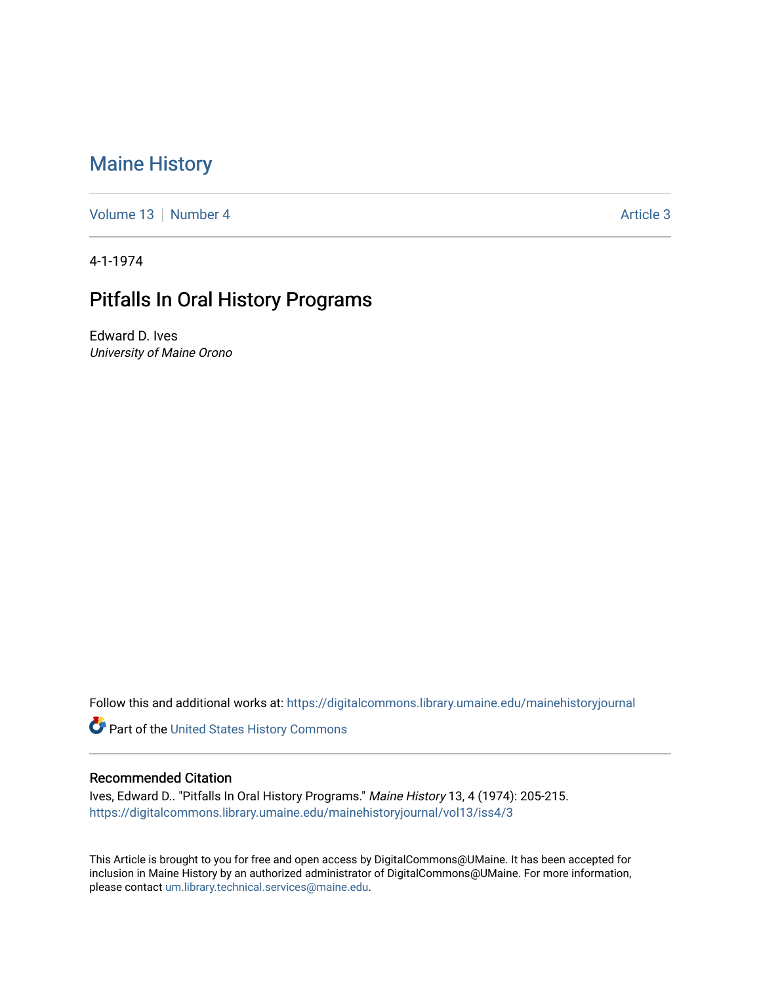## [Maine History](https://digitalcommons.library.umaine.edu/mainehistoryjournal)

[Volume 13](https://digitalcommons.library.umaine.edu/mainehistoryjournal/vol13) [Number 4](https://digitalcommons.library.umaine.edu/mainehistoryjournal/vol13/iss4) [Article 3](https://digitalcommons.library.umaine.edu/mainehistoryjournal/vol13/iss4/3) Article 3

4-1-1974

## Pitfalls In Oral History Programs

Edward D. Ives University of Maine Orono

Follow this and additional works at: [https://digitalcommons.library.umaine.edu/mainehistoryjournal](https://digitalcommons.library.umaine.edu/mainehistoryjournal?utm_source=digitalcommons.library.umaine.edu%2Fmainehistoryjournal%2Fvol13%2Fiss4%2F3&utm_medium=PDF&utm_campaign=PDFCoverPages) 

Part of the [United States History Commons](http://network.bepress.com/hgg/discipline/495?utm_source=digitalcommons.library.umaine.edu%2Fmainehistoryjournal%2Fvol13%2Fiss4%2F3&utm_medium=PDF&utm_campaign=PDFCoverPages) 

## Recommended Citation

Ives, Edward D.. "Pitfalls In Oral History Programs." Maine History 13, 4 (1974): 205-215. [https://digitalcommons.library.umaine.edu/mainehistoryjournal/vol13/iss4/3](https://digitalcommons.library.umaine.edu/mainehistoryjournal/vol13/iss4/3?utm_source=digitalcommons.library.umaine.edu%2Fmainehistoryjournal%2Fvol13%2Fiss4%2F3&utm_medium=PDF&utm_campaign=PDFCoverPages)

This Article is brought to you for free and open access by DigitalCommons@UMaine. It has been accepted for inclusion in Maine History by an authorized administrator of DigitalCommons@UMaine. For more information, please contact [um.library.technical.services@maine.edu.](mailto:um.library.technical.services@maine.edu)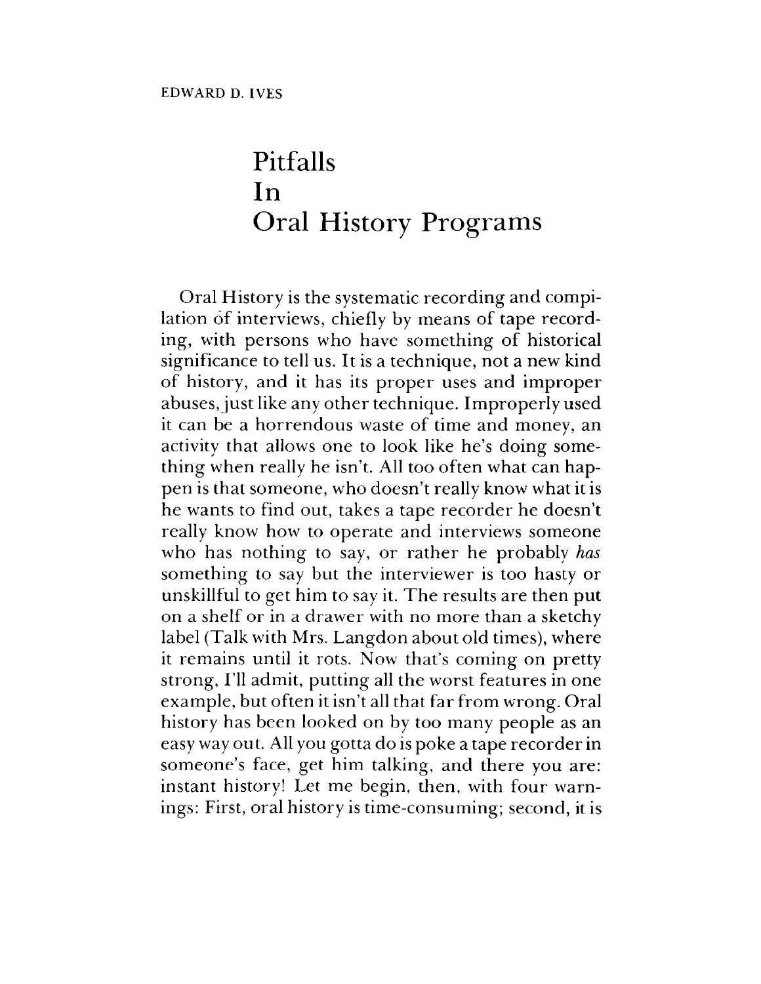## Pitfalls In Oral History Programs

Oral History is the systematic recording and compilation of interviews, chiefly by means of tape recording, with persons who have something of historical significance to tell us. It is a technique, not a new kind of history, and it has its proper uses and improper abuses, just like any other technique. Improperly used it can be a horrendous waste of time and money, an activity that allows one to look like he's doing something when really he isn't. All too often what can happen is that someone, who doesn't really know what it is he wants to find out, takes a tape recorder he doesn't really know how to operate and interviews someone who has nothing to say, or rather he probably *has* something to say but the interviewer is too hasty or unskillful to get him to say it. The results are then put on a shelf or in a drawer with no more than a sketchy label (Talk with Mrs. Langdon about old times), where it remains until it rots. Now that's coming on pretty strong, I'll admit, putting all the worst features in one example, but often it isn't all that far from wrong. Oral history has been looked on by too many people as an easy way out. All you gotta do is poke a tape recorderin someone'<sup>s</sup> face, get him talking, and there you are: instant history! Let me begin, then, with four warnings: First, oral history is time-consuming; second, it is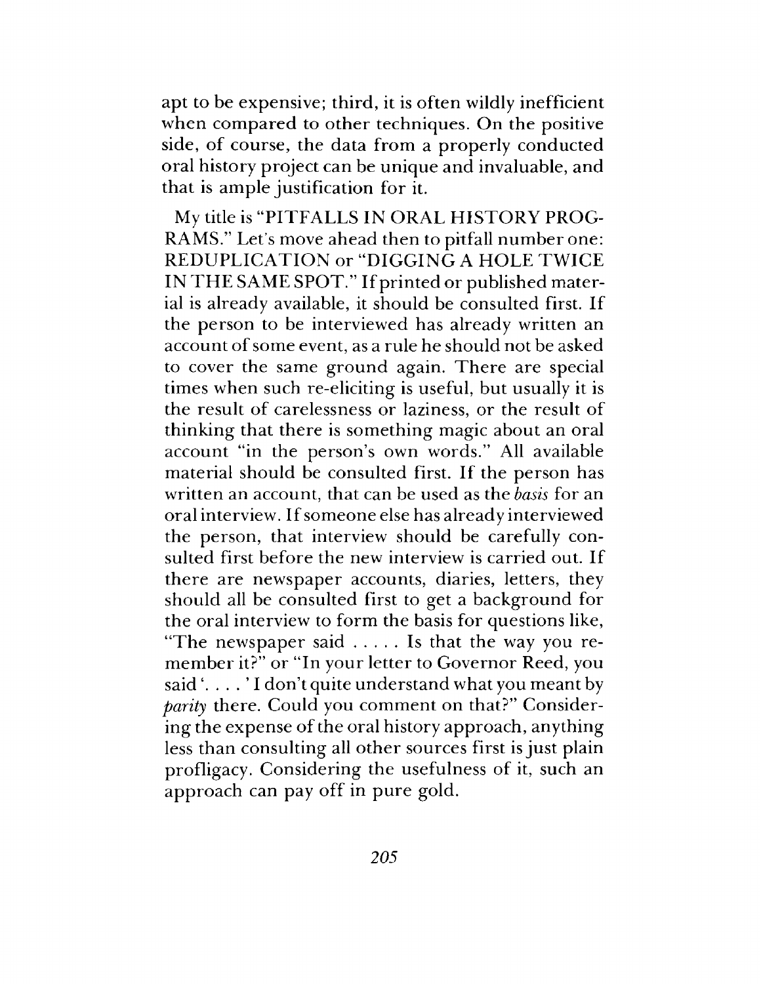apt to be expensive; third, it is often wildly inefficient when compared to other techniques. On the positive side, of course, the data from a properly conducted oral history project can be unique and invaluable, and that is ample justification for it.

My title is "PITFALLS IN ORAL HISTORY PROG-RAMS." Let's move ahead then to pitfall number one: REDUPLICATION or "DIGGING A HOLE TWICE IN THE SAME SPOT." If printed or published material is already available, it should be consulted first. If the person to be interviewed has already written an account of some event, as a rule he should not be asked to cover the same ground again. There are special times when such re-eliciting is useful, but usually it is the result of carelessness or laziness, or the result of thinking that there is something magic about an oral account "in the person's own words." All available material should be consulted first. If the person has written an account, that can be used as the *basis* for an oral interview. If someone else has already interviewed the person, that interview should be carefully consulted first before the new interview is carried out. If there are newspaper accounts, diaries, letters, they should all be consulted first to get a background for the oral interview to form the basis for questions like, "The newspaper said...... Is that the way you remember it?" or "In your letter to Governor Reed, you said'. . . . ' I don't quite understand what you meant by *parity* there. Could you comment on that?" Considering the expense of the oral history approach, anything less than consulting all other sources first is just plain profligacy. Considering the usefulness of it, such an approach can pay off in pure gold.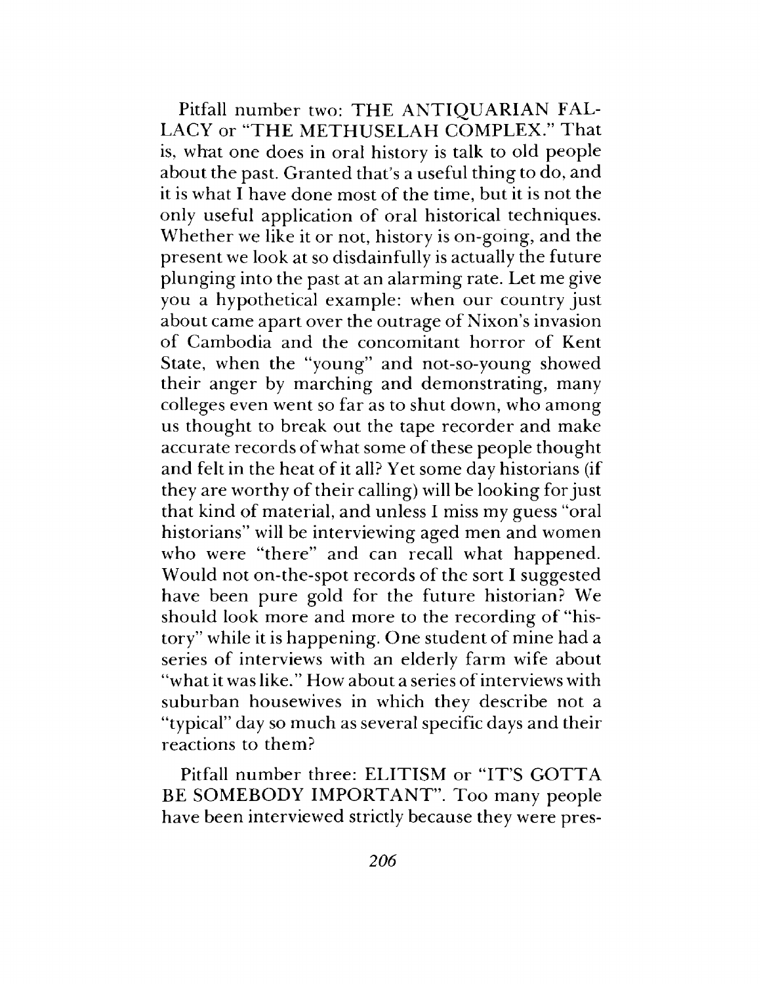Pitfail number two: THE ANTIQUARIAN FAL-LACY or "THE METHUSELAH COMPLEX." That is, what one does in oral history is talk to old people about the past. Granted that'<sup>s</sup> a useful thing to do, and it is what I have done most of the time, but it is not the only useful application of oral historical techniques. Whether we like it or not, history is on-going, and the present we look at so disdainfully is actually the future plunging into the past at an alarming rate. Let me give you a hypothetical example: when our country just about came apart over the outrage of Nixon'<sup>s</sup> invasion of Cambodia and the concomitant horror of Kent State, when the "young" and not-so-young showed their anger by marching and demonstrating, many colleges even went so far as to shut down, who among us thought to break out the tape recorder and make accurate records of what some of these people thought and felt in the heat of it all? Yet some day historians (if they are worthy of their calling) will be looking forjust that kind of material, and unless I miss my guess "oral historians" will be interviewing aged men and women who were "there" and can recall what happened. Would not on-the-spot records of the sort I suggested have been pure gold for the future historian? We should look more and more to the recording of "history" while it is happening. One student of mine had a series of interviews with an elderly farm wife about "what it was like." How about a series of interviews with suburban housewives in which they describe not a "typical" day so much as several specific days and their reactions to them?

Pitfail number three: ELITISM or "IT'S GOTTA BE SOMEBODY IMPORTANT". Too many people have been interviewed strictly because they were pres-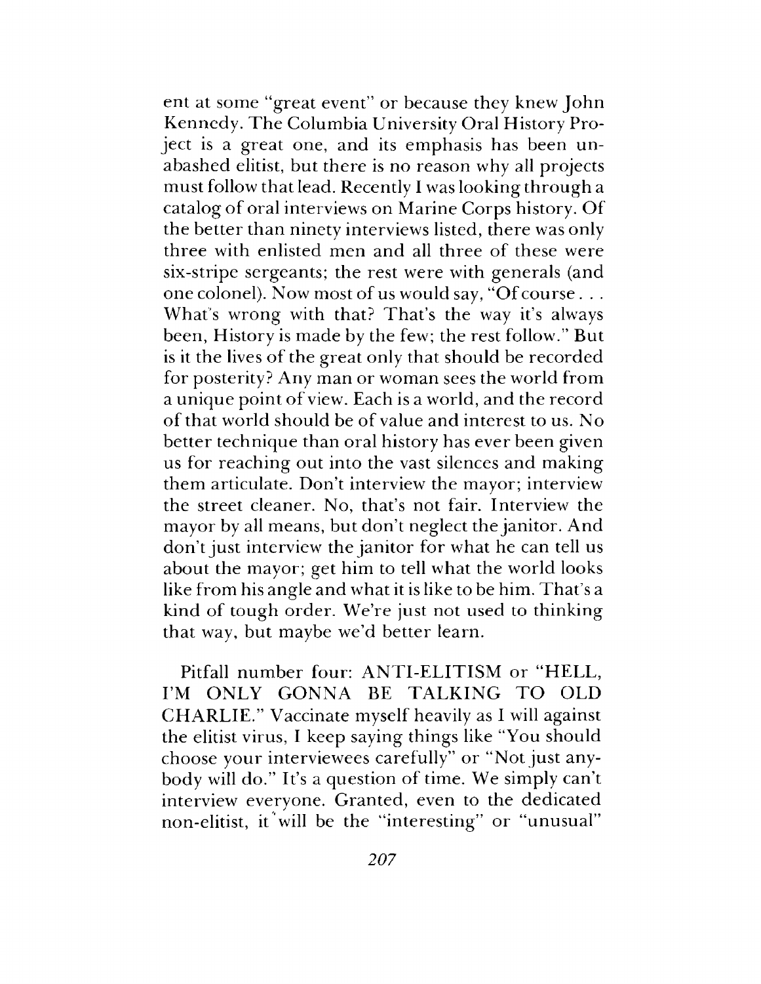ent at some "great event" or because they knew John Kennedy. The Columbia University Oral History Project is a great one, and its emphasis has been unabashed elitist, but there is no reason why all projects must follow that lead. Recently I was looking through a catalog of oral interviews on Marine Corps history. Of the better than ninety interviews listed, there was only three with enlisted men and all three of these were six-stripe sergeants; the rest were with generals (and one colonel). Now most of us would say, "Of course . . . What'<sup>s</sup> wrong with that? That's the way it'<sup>s</sup> always been, History is made by the few; the rest follow." But is it the lives of the great only that should be recorded for posterity? Any man or woman sees the world from a unique point of view. Each is a world, and the record of that world should be of value and interest to us. No better technique than oral history has ever been given us for reaching out into the vast silences and making them articulate. Don't interview the mayor; interview the street cleaner. No, that's not fair. Interview the mayor by all means, but don't neglect the janitor. And don't just interview the janitor for what he can tell us about the mayor; get him to tell what the world looks like from his angle and what it is like to be him. That's a kind of tough order. We're just not used to thinking that way, but maybe we'd better learn.

Pitfail number four: ANTI-ELITISM or "HELL, I'<sup>M</sup> ONLY GONNA BE TALKING TO OLD CHARLIE." Vaccinate myself heavily as I will against the elitist virus, I keep saying things like "You should choose your interviewees carefully" or "Not just anybody will do." It'<sup>s</sup> a question of time. We simply can't interview everyone. Granted, even to the dedicated non-elitist, it will be the "interesting" or "unusual"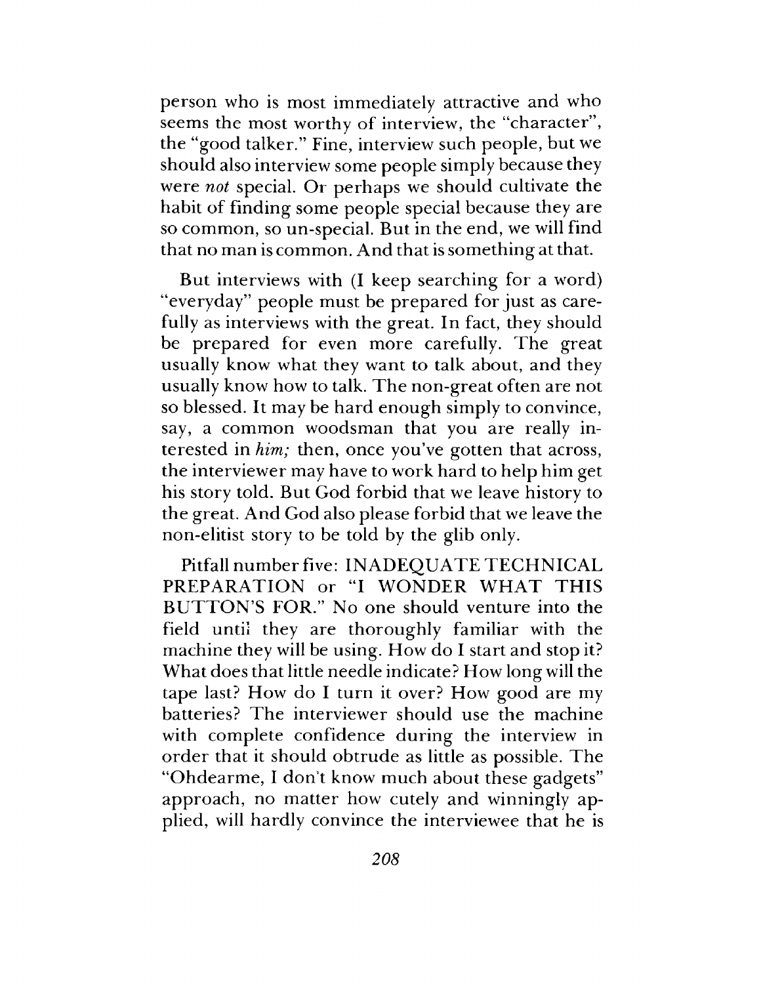person who is most immediately attractive and who seems the most worthy of interview, the "character", the "good talker." Fine, interview such people, but we should also interview some people simply because they were *not* special. Or perhaps we should cultivate the habit of finding some people special because they are so common, so un-special. But in the end, we will find that no man is common. And that is something at that.

But interviews with (I keep searching for a word) "everyday" people must be prepared for just as carefully as interviews with the great. In fact, they should be prepared for even more carefully. The great usually know what they want to talk about, and they usually know how to talk. The non-great often are not so blessed. It may be hard enough simply to convince, say, a common woodsman that you are really interested in *him;* then, once you've gotten that across, the interviewer may have to work hard to help him get his story told. But God forbid that we leave history to the great. And God also please forbid that we leave the non-elitist story to be told by the glib only.

Pitfall number five: INADEQUATE TECHNICAL PREPARATION or "I WONDER WHAT THIS BUTTON'S FOR." No one should venture into the field until they are thoroughly familiar with the machine they will be using. How do I start and stop it? What does that little needle indicate? How long will the tape last? How do I turn it over? How good are my batteries? The interviewer should use the machine with complete confidence during the interview in order that it should obtrude as little as possible. The "Ohdearme, I don't know much about these gadgets" approach, no matter how cutely and winningly applied, will hardly convince the interviewee that he is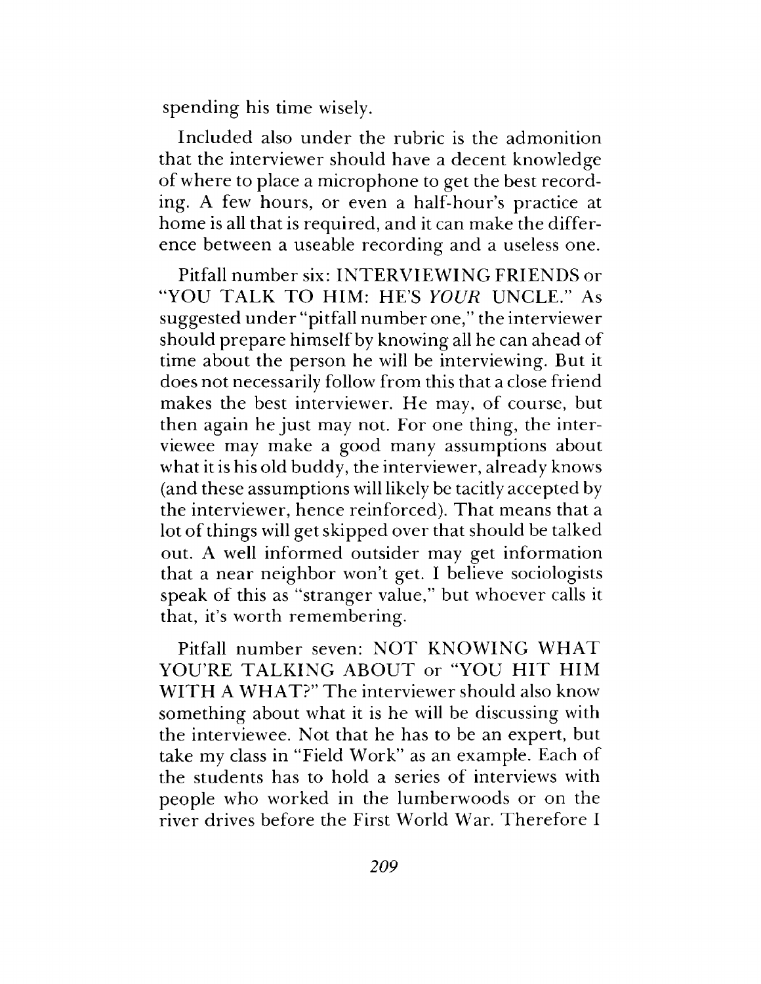spending his time wisely.

Included also under the rubric is the admonition that the interviewer should have a decent knowledge of where to place a microphone to get the best recording. A few hours, or even a half-hour's practice at home is all that is required, and it can make the difference between a useable recording and a useless one.

Pitfail number six: INTERVIEWING FRIENDS or "YOU TALK TO HIM: HE'S *YOUR* UNCLE." As suggested under "pitfail number one," the interviewer should prepare himself by knowing all he can ahead of time about the person he will be interviewing. But it does not necessarily follow from this that a close friend makes the best interviewer. He may, of course, but then again he just may not. For one thing, the interviewee may make a good many assumptions about what it is his old buddy, the interviewer, already knows (and these assumptions will likely be tacitly accepted by the interviewer, hence reinforced). That means that a lot of things will get skipped over that should be talked out. A well informed outsider may get information that a near neighbor won't get. I believe sociologists speak of this as "stranger value," but whoever calls it that, it's worth remembering.

Pitfail number seven: NOT KNOWING WHAT YOU'RE TALKING ABOUT or "YOU HIT HIM WITH A WHAT?" The interviewer should also know something about what it is he will be discussing with the interviewee. Not that he has to be an expert, but take my class in "Field Work" as an example. Each of the students has to hold a series of interviews with people who worked in the lumberwoods or on the river drives before the First World War. Therefore I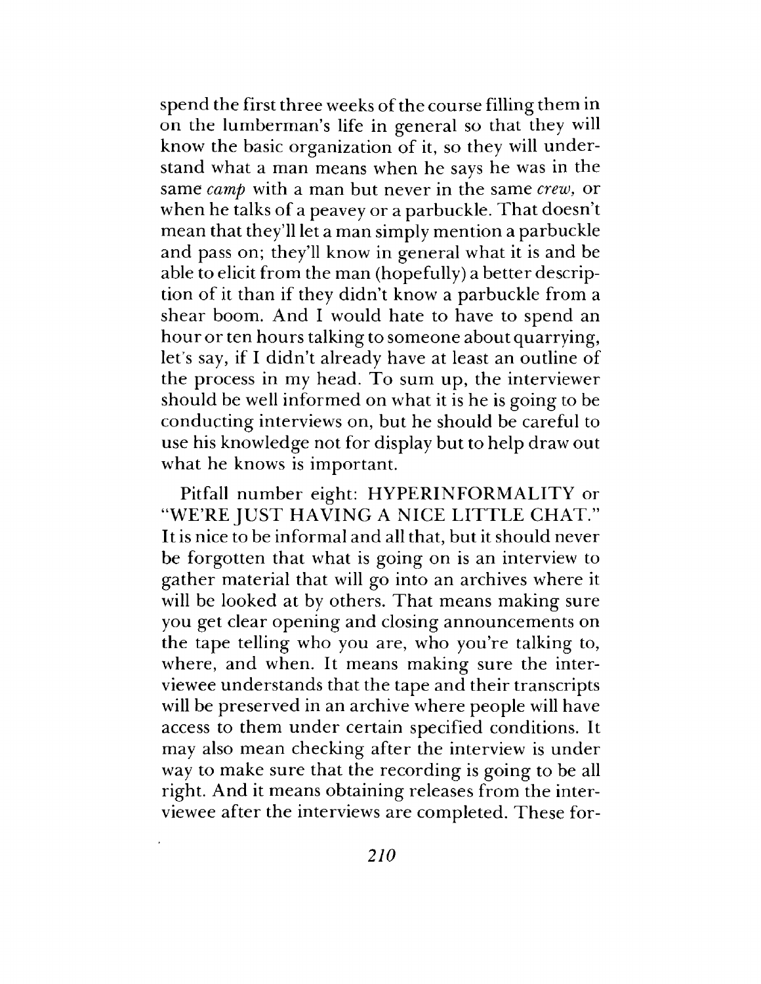spend the first three weeks of the course filling them in on the lumberman's life in general so that they will know the basic organization of it, so they will understand what a man means when he says he was in the same *camp* with a man but never in the same *crew,* or when he talks of a peavey or a parbuckle. That doesn't mean that they'll let a man simply mention a parbuckle and pass on; they'll know in general what it is and be able to elicit from the man (hopefully) a better description of it than if they didn't know a parbuckle from a shear boom. And I would hate to have to spend an hour or ten hours talking to someone about quarrying, let'<sup>s</sup> say, if I didn't already have at least an outline of the process in my head. To sum up, the interviewer should be well informed on what it is he is going to be conducting interviews on, but he should be careful to use his knowledge not for display but to help draw out what he knows is important.

Pitfall number eight: HYPERINFORMALITY or "WE'RE JUST HAVING A NICE LITTLE CHAT." It is nice to be informal and all that, but it should never be forgotten that what is going on is an interview to gather material that will go into an archives where it will be looked at by others. That means making sure you get clear opening and closing announcements on the tape telling who you are, who you're talking to, where, and when. It means making sure the interviewee understands that the tape and their transcripts will be preserved in an archive where people will have access to them under certain specified conditions. It may also mean checking after the interview is under way to make sure that the recording is going to be all right. And it means obtaining releases from the interviewee after the interviews are completed. These for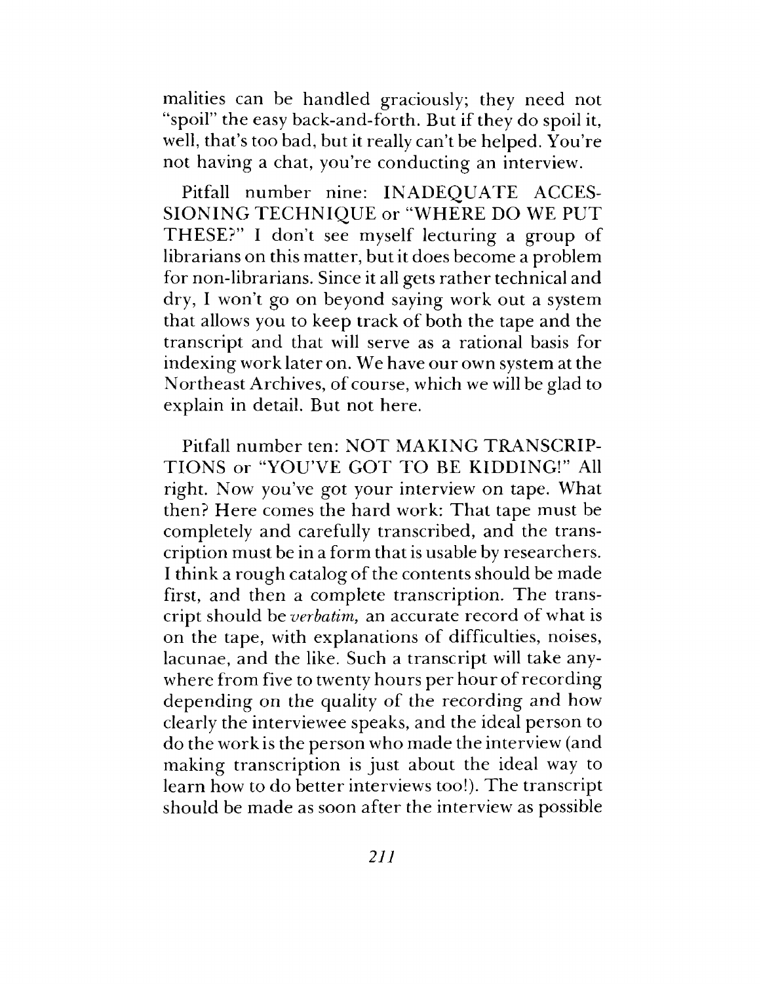malities can be handled graciously; they need not "spoil" the easy back-and-forth. But if they do spoil it, well, that's too bad, but it really can't be helped. You're not having a chat, you're conducting an interview.

Pitfail number nine: INADEQUATE ACCES-SIONING TECHNIQUE or "WHERE DO WE PUT THESE?" I don't see myself lecturing a group of librarians on this matter, but it does become a problem for non-librarians. Since it all gets rather technical and dry, I won't go on beyond saying work out a system that allows you to keep track of both the tape and the transcript and that will serve as a rational basis for indexing work later on. We have our own system at the Northeast Archives, of course, which we will be glad to explain in detail. But not here.

Pitfall number ten: NOT MAKING TRANSCRIP-TIONS or "YOU'VE GOT TO BE KIDDING!" All right. Now you've got your interview on tape. What then? Here comes the hard work: That tape must be completely and carefully transcribed, and the transcription must be in a form that is usable by researchers. I think a rough catalog of the contents should be made first, and then a complete transcription. The transcript should be *verbatim,* an accurate record of what is on the tape, with explanations of difficulties, noises, lacunae, and the like. Such a transcript will take anywhere from five to twenty hours per hour of recording depending on the quality of the recording and how clearly the interviewee speaks, and the ideal person to do the work is the person who made the interview (and making transcription is just about the ideal way to learn how to do better interviews too!). The transcript should be made as soon after the interview as possible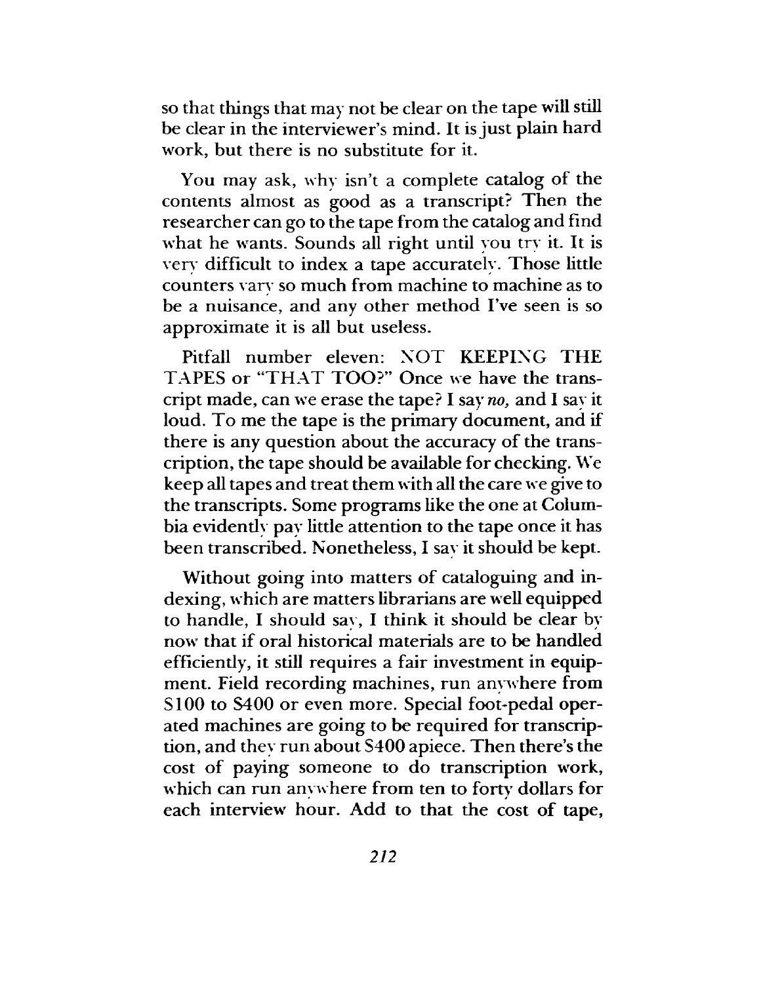so that things that may not be clear on the tape will still be clear in the interviewer's mind. It is just plain hard work, but there is no substitute for it.

You may ask, why isn't a complete catalog of the contents almost as good as a transcript? Then the researcher can go to the tape from the catalog and find what he wants. Sounds all right until you try it. It is very difficult to index a tape accurately. Those little counters vary so much from machine to machine as to be a nuisance, and any other method I've seen is so approximate it is all but useless.

Pitfall number eleven: NOT KEEPING THE TAPES or "THAT TOO?" Once we have the transcript made, can we erase the tape? I say *no,* and I say it loud. To me the tape is the primary document, and if there is any question about the accuracy of the transcription, the tape should be available for checking. We keep all tapes and treat them with all the care we give to the transcripts. Some programs like the one at Columbia evidently pay little attention to the tape once it has been transcribed. Nonetheless, I say it should be kept.

Without going into matters of cataloguing and indexing, which are matters librarians are well equipped to handle, I should say, I think it should be clear by now that if oral historical materials are to be handled efficiendy, it still requires a fair investment in equipment. Field recording machines, run anywhere from SI00 to S400 or even more. Special foot-pedal operated machines are going to be required for transcription, and they run about S400 apiece. Then there's the cost of paying someone to do transcription work, which can run anywhere from ten to forty dollars for each interview hour. Add to that the cost of tape,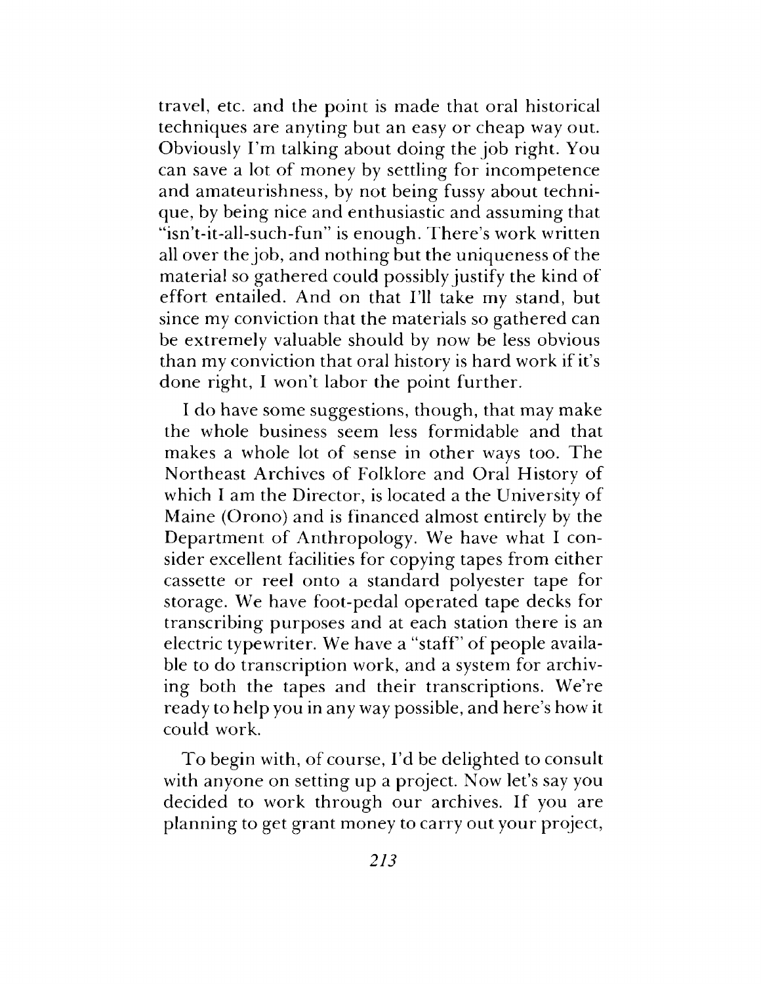travel, etc. and the point is made that oral historical techniques are anyting but an easy or cheap way out. Obviously I'm talking about doing the job right. You can save a lot of money by settling for incompetence and amateurishness, by not being fussy about technique, by being nice and enthusiastic and assuming that "isn't-it-all-such-fun" is enough. There'<sup>s</sup> work written all over the job, and nothing but the uniqueness of the material so gathered could possibly justify the kind of effort entailed. And on that I'll take my stand, but since my conviction that the materials so gathered can be extremely valuable should by now be less obvious than my conviction that oral history is hard work if it'<sup>s</sup> done right, I won't labor the point further.

I do have some suggestions, though, that may make the whole business seem less formidable and that makes a whole lot of sense in other ways too. The Northeast Archives of Folklore and Oral History of which I am the Director, is located a the University of Maine (Orono) and is financed almost entirely by the Department of Anthropology. We have what I consider excellent facilities for copying tapes from either cassette or reel onto a standard polyester tape for storage. We have foot-pedal operated tape decks for transcribing purposes and at each station there is an electric typewriter. We have a "staff' of people available to do transcription work, and a system for archiving both the tapes and their transcriptions. We're ready to help you in any way possible, and here'<sup>s</sup> how it could work.

To begin with, of course, I'd be delighted to consult with anyone on setting up a project. Now let's say you decided to work through our archives. If you are planning to get grant money to carry out your project,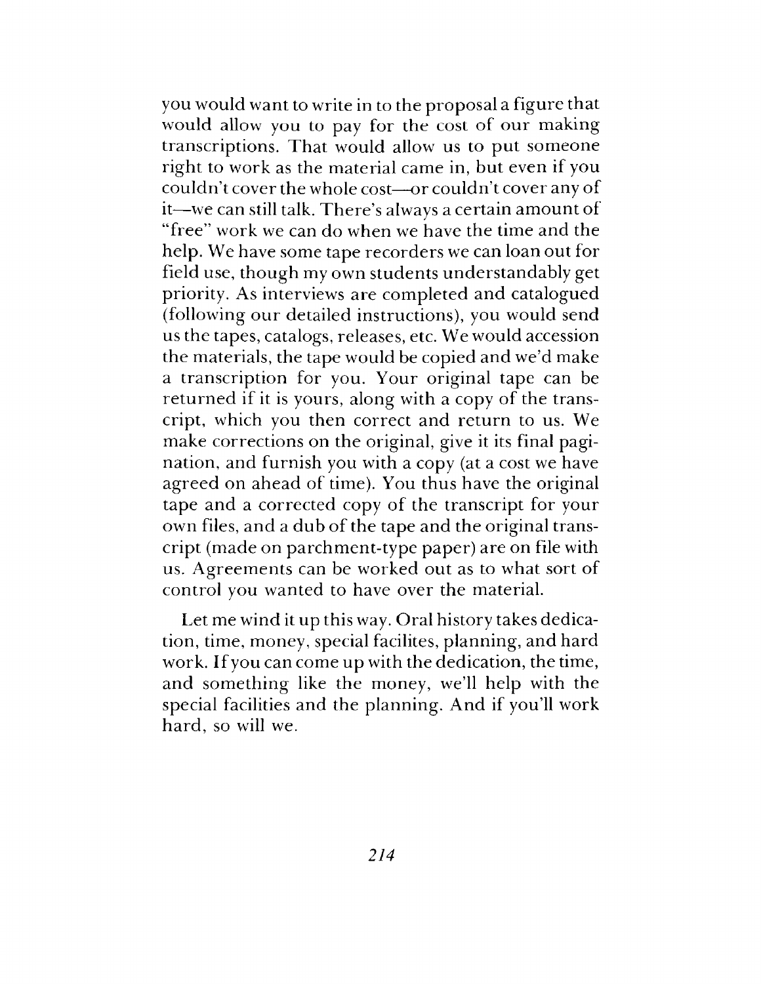you would want to write in to the proposal a figure that would allow you to pay for the cost of our making transcriptions. That would allow us to put someone right to work as the material came in, but even if you couldn't cover the whole cost—or couldn't cover any of it—we can still talk. There'<sup>s</sup> always a certain amount of "free" work we can do when we have the time and the help. We have some tape recorders we can loan out for field use, though my own students understandably get priority. As interviews are completed and catalogued (following our detailed instructions), you would send us the tapes, catalogs, releases, etc. We would accession the materials, the tape would be copied and we'd make a transcription for you. Your original tape can be returned if it is yours, along with a copy of the transcript, which you then correct and return to us. We make corrections on the original, give it its final pagination, and furnish you with a copy (at a cost we have agreed on ahead of time). You thus have the original tape and a corrected copy of the transcript for your own files, and a dub of the tape and the original transcript (made on parchment-type paper) are on file with us. Agreements can be worked out as to what sort of control you wanted to have over the material.

Let me wind it up this way. Oral history takes dedication, time, money, special facilites, planning, and hard work. Ifyou can come up with the dedication, the time, and something like the money, we'll help with the special facilities and the planning. And if you'll work hard, so will we.